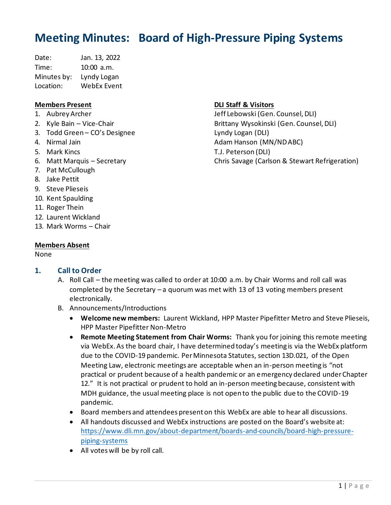# **Meeting Minutes: Board of High-Pressure Piping Systems**

Date: Jan. 13, 2022 Time: 10:00 a.m. Minutes by: Lyndy Logan Location: WebEx Event

# **Members Present**

- 1. Aubrey Archer
- 2. Kyle Bain Vice-Chair
- 3. Todd Green CO's Designee
- 4. Nirmal Jain
- 5. Mark Kincs
- 6. Matt Marquis Secretary
- 7. Pat McCullough
- 8. Jake Pettit
- 9. Steve Plieseis
- 10. Kent Spaulding
- 11. Roger Thein
- 12. Laurent Wickland
- 13. Mark Worms Chair

# **Members Absent**

# None

# **1. Call to Order**

- A. Roll Call the meeting was called to order at 10:00 a.m. by Chair Worms and roll call was completed by the Secretary – a quorum was met with 13 of 13 voting members present electronically.
- B. Announcements/Introductions
	- **Welcome new members:** Laurent Wickland, HPP Master Pipefitter Metro and Steve Plieseis, HPP Master Pipefitter Non-Metro
	- **Remote Meeting Statement from Chair Worms:** Thank you for joining this remote meeting via WebEx. As the board chair, I have determined today's meeting is via the WebEx platform due to the COVID-19 pandemic. Per Minnesota Statutes, section 13D.021, of the Open Meeting Law, electronic meetings are acceptable when an in-person meeting is "not practical or prudent because of a health pandemic or an emergency declared under Chapter 12." It is not practical or prudent to hold an in-person meeting because, consistent with MDH guidance, the usual meeting place is not open to the public due to the COVID-19 pandemic.
	- Board members and attendees present on this WebEx are able to hear all discussions.
	- All handouts discussed and WebEx instructions are posted on the Board's website at: [https://www.dli.mn.gov/about-department/boards-and-councils/board-high-pressure](https://www.dli.mn.gov/about-department/boards-and-councils/board-high-pressure-piping-systems)[piping-systems](https://www.dli.mn.gov/about-department/boards-and-councils/board-high-pressure-piping-systems)
	- All votes will be by roll call.

# **DLI Staff & Visitors**

Jeff Lebowski (Gen. Counsel, DLI) Brittany Wysokinski (Gen. Counsel, DLI) Lyndy Logan (DLI) Adam Hanson (MN/ND ABC) T.J. Peterson (DLI) Chris Savage (Carlson & Stewart Refrigeration)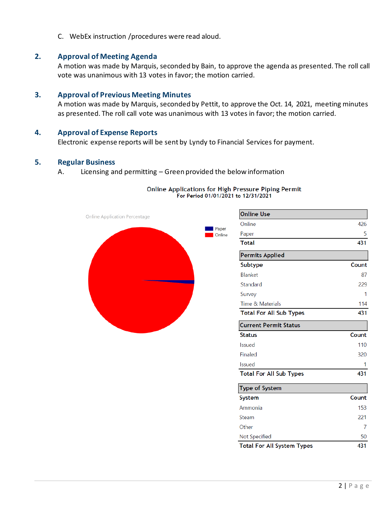C. WebEx instruction /procedures were read aloud.

# **2. Approval of Meeting Agenda**

A motion was made by Marquis, seconded by Bain, to approve the agenda as presented. The roll call vote was unanimous with 13 votes in favor; the motion carried.

# **3. Approval of Previous Meeting Minutes**

A motion was made by Marquis, seconded by Pettit, to approve the Oct. 14, 2021, meeting minutes as presented. The roll call vote was unanimous with 13 votes in favor; the motion carried.

#### **4. Approval of Expense Reports**

Electronic expense reports will be sent by Lyndy to Financial Services for payment.

#### **5. Regular Business**

A. Licensing and permitting – Green provided the below information

# Online Applications for High Pressure Piping Permit For Period 01/01/2021 to 12/31/2021



| <b>Online Use</b>                                   |       |
|-----------------------------------------------------|-------|
| Online                                              | 426   |
| Paper                                               | 5     |
| <b>Total</b>                                        | 431   |
| <b>Permits Applied</b>                              |       |
| Subtype                                             | Count |
| Blanket                                             | 87    |
| Standard                                            | 229   |
| Survey                                              | 1     |
| Time & Materials                                    | 114   |
| <b>Total For All Sub Types</b>                      | 431   |
| <b>Current Permit Status</b>                        |       |
| <b>Status</b>                                       | Count |
| Issued                                              |       |
|                                                     | 110   |
| Finaled                                             | 320   |
| Issued                                              | 1     |
| Total For All Sub Types                             | 431   |
|                                                     |       |
|                                                     | Count |
|                                                     | 153   |
| Type of System<br><b>System</b><br>Ammonia<br>Steam | 221   |
| Other                                               | 7     |
| Not Specified                                       | 50    |
| Total For All System Types                          | 431   |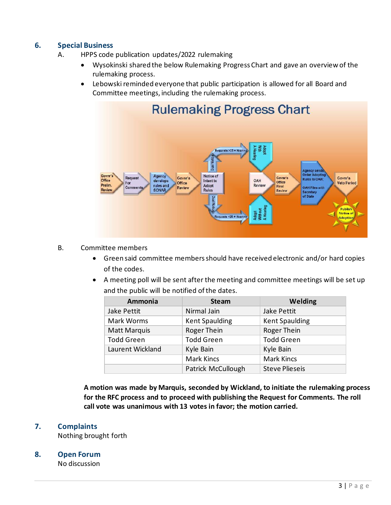# **6. Special Business**

- A. HPPS code publication updates/2022 rulemaking
	- Wysokinski shared the below Rulemaking Progress Chart and gave an overview of the rulemaking process.
	- Lebowski reminded everyone that public participation is allowed for all Board and Committee meetings, including the rulemaking process.



# B. Committee members

- Green said committee members should have received electronic and/or hard copies of the codes.
- A meeting poll will be sent after the meeting and committee meetings will be set up and the public will be notified of the dates.

| Ammonia             | <b>Steam</b>          | <b>Welding</b>        |
|---------------------|-----------------------|-----------------------|
| Jake Pettit         | Nirmal Jain           | Jake Pettit           |
| Mark Worms          | <b>Kent Spaulding</b> | <b>Kent Spaulding</b> |
| <b>Matt Marquis</b> | Roger Thein           | Roger Thein           |
| <b>Todd Green</b>   | <b>Todd Green</b>     | <b>Todd Green</b>     |
| Laurent Wickland    | Kyle Bain             | Kyle Bain             |
|                     | <b>Mark Kincs</b>     | <b>Mark Kincs</b>     |
|                     | Patrick McCullough    | <b>Steve Plieseis</b> |

**A motion was made by Marquis, seconded by Wickland, to initiate the rulemaking process for the RFC process and to proceed with publishing the Request for Comments. The roll call vote was unanimous with 13 votes in favor; the motion carried.** 

# **7. Complaints**

Nothing brought forth

# **8. Open Forum**

No discussion